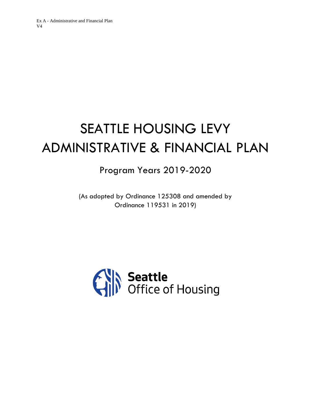# SEATTLE HOUSING LEVY ADMINISTRATIVE & FINANCIAL PLAN

Program Years 2019-2020

(As adopted by Ordinance 125308 and amended by Ordinance 119531 in 2019)

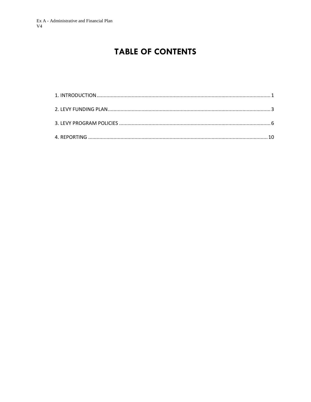# **TABLE OF CONTENTS**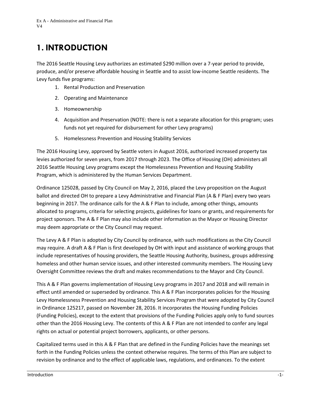# <span id="page-2-0"></span>**1. INTRODUCTION**

The 2016 Seattle Housing Levy authorizes an estimated \$290 million over a 7-year period to provide, produce, and/or preserve affordable housing in Seattle and to assist low-income Seattle residents. The Levy funds five programs:

- 1. Rental Production and Preservation
- 2. Operating and Maintenance
- 3. Homeownership
- 4. Acquisition and Preservation (NOTE: there is not a separate allocation for this program; uses funds not yet required for disbursement for other Levy programs)
- 5. Homelessness Prevention and Housing Stability Services

The 2016 Housing Levy, approved by Seattle voters in August 2016, authorized increased property tax levies authorized for seven years, from 2017 through 2023. The Office of Housing (OH) administers all 2016 Seattle Housing Levy programs except the Homelessness Prevention and Housing Stability Program, which is administered by the Human Services Department.

Ordinance 125028, passed by City Council on May 2, 2016, placed the Levy proposition on the August ballot and directed OH to prepare a Levy Administrative and Financial Plan (A & F Plan) every two years beginning in 2017. The ordinance calls for the A & F Plan to include, among other things, amounts allocated to programs, criteria for selecting projects, guidelines for loans or grants, and requirements for project sponsors. The A & F Plan may also include other information as the Mayor or Housing Director may deem appropriate or the City Council may request.

The Levy A & F Plan is adopted by City Council by ordinance, with such modifications as the City Council may require. A draft A & F Plan is first developed by OH with input and assistance of working groups that include representatives of housing providers, the Seattle Housing Authority, business, groups addressing homeless and other human service issues, and other interested community members. The Housing Levy Oversight Committee reviews the draft and makes recommendations to the Mayor and City Council.

This A & F Plan governs implementation of Housing Levy programs in 2017 and 2018 and will remain in effect until amended or superseded by ordinance. This A & F Plan incorporates policies for the Housing Levy Homelessness Prevention and Housing Stability Services Program that were adopted by City Council in Ordinance 125217, passed on November 28, 2016. It incorporates the Housing Funding Policies (Funding Policies), except to the extent that provisions of the Funding Policies apply only to fund sources other than the 2016 Housing Levy. The contents of this A & F Plan are not intended to confer any legal rights on actual or potential project borrowers, applicants, or other persons.

Capitalized terms used in this A & F Plan that are defined in the Funding Policies have the meanings set forth in the Funding Policies unless the context otherwise requires. The terms of this Plan are subject to revision by ordinance and to the effect of applicable laws, regulations, and ordinances. To the extent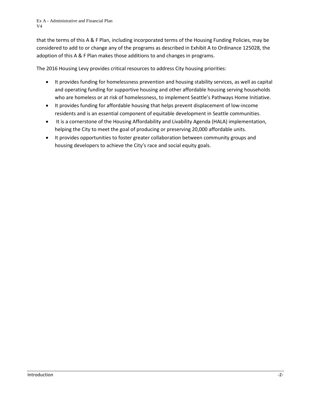that the terms of this A & F Plan, including incorporated terms of the Housing Funding Policies, may be considered to add to or change any of the programs as described in Exhibit A to Ordinance 125028, the adoption of this A & F Plan makes those additions to and changes in programs.

The 2016 Housing Levy provides critical resources to address City housing priorities:

- It provides funding for homelessness prevention and housing stability services, as well as capital and operating funding for supportive housing and other affordable housing serving households who are homeless or at risk of homelessness, to implement Seattle's Pathways Home Initiative.
- It provides funding for affordable housing that helps prevent displacement of low-income residents and is an essential component of equitable development in Seattle communities.
- It is a cornerstone of the Housing Affordability and Livability Agenda (HALA) implementation, helping the City to meet the goal of producing or preserving 20,000 affordable units.
- It provides opportunities to foster greater collaboration between community groups and housing developers to achieve the City's race and social equity goals.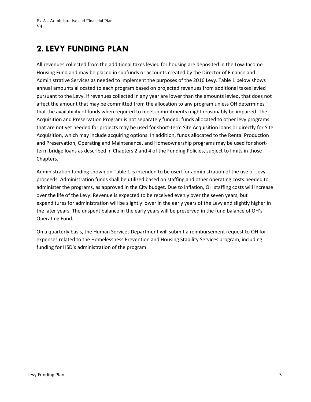# <span id="page-4-0"></span>**2. LEVY FUNDING PLAN**

All revenues collected from the additional taxes levied for housing are deposited in the Low-Income Housing Fund and may be placed in subfunds or accounts created by the Director of Finance and Administrative Services as needed to implement the purposes of the 2016 Levy. Table 1 below shows annual amounts allocated to each program based on projected revenues from additional taxes levied pursuant to the Levy. If revenues collected in any year are lower than the amounts levied, that does not affect the amount that may be committed from the allocation to any program unless OH determines that the availability of funds when required to meet commitments might reasonably be impaired. The Acquisition and Preservation Program is not separately funded; funds allocated to other levy programs that are not yet needed for projects may be used for short-term Site Acquisition loans or directly for Site Acquisition, which may include acquiring options. In addition, funds allocated to the Rental Production and Preservation, Operating and Maintenance, and Homeownership programs may be used for shortterm bridge loans as described in Chapters 2 and 4 of the Funding Policies, subject to limits in those Chapters.

Administration funding shown on Table 1 is intended to be used for administration of the use of Levy proceeds. Administration funds shall be utilized based on staffing and other operating costs needed to administer the programs, as approved in the City budget. Due to inflation, OH staffing costs will increase over the life of the Levy. Revenue is expected to be received evenly over the seven years, but expenditures for administration will be slightly lower in the early years of the Levy and slightly higher in the later years. The unspent balance in the early years will be preserved in the fund balance of OH's Operating Fund.

On a quarterly basis, the Human Services Department will submit a reimbursement request to OH for expenses related to the Homelessness Prevention and Housing Stability Services program, including funding for HSD's administration of the program.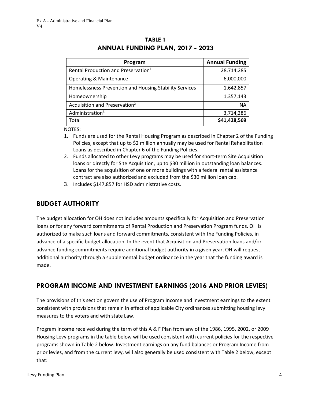| Program                                                | <b>Annual Funding</b> |
|--------------------------------------------------------|-----------------------|
| Rental Production and Preservation <sup>1</sup>        | 28,714,285            |
| <b>Operating &amp; Maintenance</b>                     | 6,000,000             |
| Homelessness Prevention and Housing Stability Services | 1,642,857             |
| Homeownership                                          | 1,357,143             |
| Acquisition and Preservation <sup>2</sup>              | ΝA                    |
| Administration <sup>3</sup>                            | 3,714,286             |
| Total                                                  | \$41,428,569          |

### **TABLE 1 ANNUAL FUNDING PLAN, 2017 - 2023**

NOTES:

- 1. Funds are used for the Rental Housing Program as described in Chapter 2 of the Funding Policies, except that up to \$2 million annually may be used for Rental Rehabilitation Loans as described in Chapter 6 of the Funding Policies.
- 2. Funds allocated to other Levy programs may be used for short-term Site Acquisition loans or directly for Site Acquisition, up to \$30 million in outstanding loan balances. Loans for the acquisition of one or more buildings with a federal rental assistance contract are also authorized and excluded from the \$30 million loan cap.
- 3. Includes \$147,857 for HSD administrative costs.

# **BUDGET AUTHORITY**

The budget allocation for OH does not includes amounts specifically for Acquisition and Preservation loans or for any forward commitments of Rental Production and Preservation Program funds. OH is authorized to make such loans and forward commitments, consistent with the Funding Policies, in advance of a specific budget allocation. In the event that Acquisition and Preservation loans and/or advance funding commitments require additional budget authority in a given year, OH will request additional authority through a supplemental budget ordinance in the year that the funding award is made.

# **PROGRAM INCOME AND INVESTMENT EARNINGS (2016 AND PRIOR LEVIES)**

The provisions of this section govern the use of Program Income and investment earnings to the extent consistent with provisions that remain in effect of applicable City ordinances submitting housing levy measures to the voters and with state Law.

Program Income received during the term of this A & F Plan from any of the 1986, 1995, 2002, or 2009 Housing Levy programs in the table below will be used consistent with current policies for the respective programs shown in Table 2 below. Investment earnings on any fund balances or Program Income from prior levies, and from the current levy, will also generally be used consistent with Table 2 below, except that: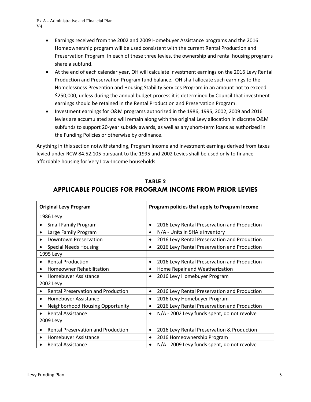- Earnings received from the 2002 and 2009 Homebuyer Assistance programs and the 2016 Homeownership program will be used consistent with the current Rental Production and Preservation Program. In each of these three levies, the ownership and rental housing programs share a subfund.
- At the end of each calendar year, OH will calculate investment earnings on the 2016 Levy Rental Production and Preservation Program fund balance. OH shall allocate such earnings to the Homelessness Prevention and Housing Stability Services Program in an amount not to exceed \$250,000, unless during the annual budget process it is determined by Council that investment earnings should be retained in the Rental Production and Preservation Program.
- Investment earnings for O&M programs authorized in the 1986, 1995, 2002, 2009 and 2016 levies are accumulated and will remain along with the original Levy allocation in discrete O&M subfunds to support 20-year subsidy awards, as well as any short-term loans as authorized in the Funding Policies or otherwise by ordinance.

Anything in this section notwithstanding, Program Income and investment earnings derived from taxes levied under RCW 84.52.105 pursuant to the 1995 and 2002 Levies shall be used only to finance affordable housing for Very Low-Income households.

<span id="page-6-0"></span>

| <b>Original Levy Program</b>                           | Program policies that apply to Program Income             |
|--------------------------------------------------------|-----------------------------------------------------------|
| 1986 Levy                                              |                                                           |
| <b>Small Family Program</b>                            | 2016 Levy Rental Preservation and Production<br>$\bullet$ |
| Large Family Program                                   | N/A - Units in SHA's inventory                            |
| <b>Downtown Preservation</b>                           | 2016 Levy Rental Preservation and Production              |
| <b>Special Needs Housing</b>                           | 2016 Levy Rental Preservation and Production<br>$\bullet$ |
| 1995 Levy                                              |                                                           |
| <b>Rental Production</b><br>$\bullet$                  | 2016 Levy Rental Preservation and Production<br>$\bullet$ |
| <b>Homeowner Rehabilitation</b><br>$\bullet$           | Home Repair and Weatherization                            |
| Homebuyer Assistance                                   | 2016 Levy Homebuyer Program                               |
| 2002 Levy                                              |                                                           |
| <b>Rental Preservation and Production</b>              | 2016 Levy Rental Preservation and Production<br>$\bullet$ |
| Homebuyer Assistance<br>٠                              | 2016 Levy Homebuyer Program<br>٠                          |
| Neighborhood Housing Opportunity                       | 2016 Levy Rental Preservation and Production<br>٠         |
| <b>Rental Assistance</b><br>$\bullet$                  | N/A - 2002 Levy funds spent, do not revolve<br>$\bullet$  |
| 2009 Levy                                              |                                                           |
| <b>Rental Preservation and Production</b><br>$\bullet$ | 2016 Levy Rental Preservation & Production<br>$\bullet$   |
| Homebuyer Assistance                                   | 2016 Homeownership Program                                |
| <b>Rental Assistance</b>                               | N/A - 2009 Levy funds spent, do not revolve               |

# **TABLE 2 APPLICABLE POLICIES FOR PROGRAM INCOME FROM PRIOR LEVIES**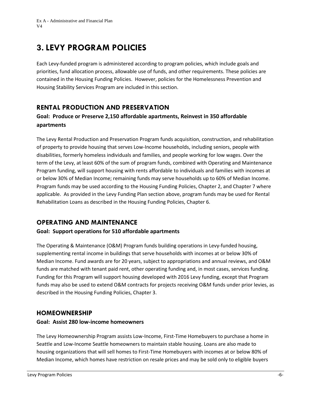# **3. LEVY PROGRAM POLICIES**

Each Levy-funded program is administered according to program policies, which include goals and priorities, fund allocation process, allowable use of funds, and other requirements. These policies are contained in the Housing Funding Policies. However, policies for the Homelessness Prevention and Housing Stability Services Program are included in this section.

## **RENTAL PRODUCTION AND PRESERVATION**

### **Goal: Produce or Preserve 2,150 affordable apartments, Reinvest in 350 affordable apartments**

The Levy Rental Production and Preservation Program funds acquisition, construction, and rehabilitation of property to provide housing that serves Low-Income households, including seniors, people with disabilities, formerly homeless individuals and families, and people working for low wages. Over the term of the Levy, at least 60% of the sum of program funds, combined with Operating and Maintenance Program funding, will support housing with rents affordable to individuals and families with incomes at or below 30% of Median Income; remaining funds may serve households up to 60% of Median Income. Program funds may be used according to the Housing Funding Policies, Chapter 2, and Chapter 7 where applicable. As provided in the Levy Funding Plan section above, program funds may be used for Rental Rehabilitation Loans as described in the Housing Funding Policies, Chapter 6.

## **OPERATING AND MAINTENANCE**

#### **Goal: Support operations for 510 affordable apartments**

The Operating & Maintenance (O&M) Program funds building operations in Levy-funded housing, supplementing rental income in buildings that serve households with incomes at or below 30% of Median Income. Fund awards are for 20 years, subject to appropriations and annual reviews, and O&M funds are matched with tenant paid rent, other operating funding and, in most cases, services funding. Funding for this Program will support housing developed with 2016 Levy funding, except that Program funds may also be used to extend O&M contracts for projects receiving O&M funds under prior levies, as described in the Housing Funding Policies, Chapter 3.

### **HOMEOWNERSHIP**

#### **Goal: Assist 280 low-income homeowners**

The Levy Homeownership Program assists Low-Income, First-Time Homebuyers to purchase a home in Seattle and Low-Income Seattle homeowners to maintain stable housing. Loans are also made to housing organizations that will sell homes to First-Time Homebuyers with incomes at or below 80% of Median Income, which homes have restriction on resale prices and may be sold only to eligible buyers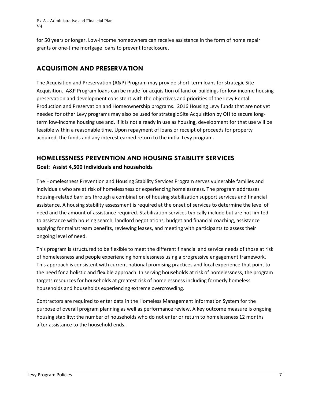for 50 years or longer. Low-Income homeowners can receive assistance in the form of home repair grants or one-time mortgage loans to prevent foreclosure.

# **ACQUISITION AND PRESERVATION**

The Acquisition and Preservation (A&P) Program may provide short-term loans for strategic Site Acquisition. A&P Program loans can be made for acquisition of land or buildings for low-income housing preservation and development consistent with the objectives and priorities of the Levy Rental Production and Preservation and Homeownership programs. 2016 Housing Levy funds that are not yet needed for other Levy programs may also be used for strategic Site Acquisition by OH to secure longterm low-income housing use and, if it is not already in use as housing, development for that use will be feasible within a reasonable time. Upon repayment of loans or receipt of proceeds for property acquired, the funds and any interest earned return to the initial Levy program.

## **HOMELESSNESS PREVENTION AND HOUSING STABILITY SERVICES Goal: Assist 4,500 individuals and households**

The Homelessness Prevention and Housing Stability Services Program serves vulnerable families and individuals who are at risk of homelessness or experiencing homelessness. The program addresses housing-related barriers through a combination of housing stabilization support services and financial assistance. A housing stability assessment is required at the onset of services to determine the level of need and the amount of assistance required. Stabilization services typically include but are not limited to assistance with housing search, landlord negotiations, budget and financial coaching, assistance applying for mainstream benefits, reviewing leases, and meeting with participants to assess their ongoing level of need.

This program is structured to be flexible to meet the different financial and service needs of those at risk of homelessness and people experiencing homelessness using a progressive engagement framework. This approach is consistent with current national promising practices and local experience that point to the need for a holistic and flexible approach. In serving households at risk of homelessness, the program targets resources for households at greatest risk of homelessness including formerly homeless households and households experiencing extreme overcrowding.

Contractors are required to enter data in the Homeless Management Information System for the purpose of overall program planning as well as performance review. A key outcome measure is ongoing housing stability: the number of households who do not enter or return to homelessness 12 months after assistance to the household ends.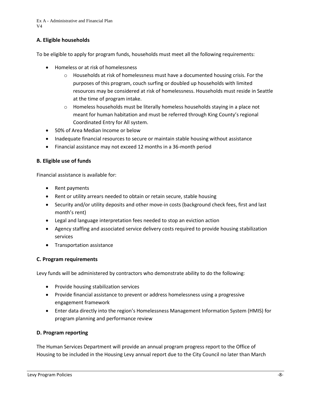#### **A. Eligible households**

To be eligible to apply for program funds, households must meet all the following requirements:

- Homeless or at risk of homelessness
	- o Households at risk of homelessness must have a documented housing crisis. For the purposes of this program, couch surfing or doubled up households with limited resources may be considered at risk of homelessness. Households must reside in Seattle at the time of program intake.
	- $\circ$  Homeless households must be literally homeless households staying in a place not meant for human habitation and must be referred through King County's regional Coordinated Entry for All system.
- 50% of Area Median Income or below
- Inadequate financial resources to secure or maintain stable housing without assistance
- Financial assistance may not exceed 12 months in a 36-month period

#### **B. Eligible use of funds**

Financial assistance is available for:

- Rent payments
- Rent or utility arrears needed to obtain or retain secure, stable housing
- Security and/or utility deposits and other move-in costs (background check fees, first and last month's rent)
- Legal and language interpretation fees needed to stop an eviction action
- Agency staffing and associated service delivery costs required to provide housing stabilization services
- Transportation assistance

#### **C. Program requirements**

Levy funds will be administered by contractors who demonstrate ability to do the following:

- Provide housing stabilization services
- Provide financial assistance to prevent or address homelessness using a progressive engagement framework
- Enter data directly into the region's Homelessness Management Information System (HMIS) for program planning and performance review

#### **D. Program reporting**

The Human Services Department will provide an annual program progress report to the Office of Housing to be included in the Housing Levy annual report due to the City Council no later than March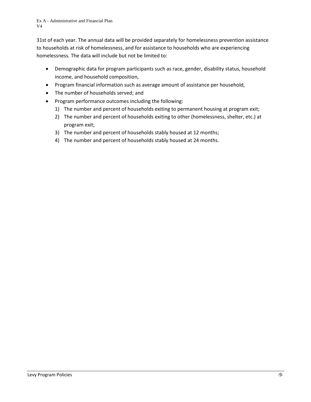31st of each year. The annual data will be provided separately for homelessness prevention assistance to households at risk of homelessness, and for assistance to households who are experiencing homelessness. The data will include but not be limited to:

- Demographic data for program participants such as race, gender, disability status, household income, and household composition,
- Program financial information such as average amount of assistance per household,
- The number of households served; and
- Program performance outcomes including the following:
	- 1) The number and percent of households exiting to permanent housing at program exit;
	- 2) The number and percent of households exiting to other (homelessness, shelter, etc.) at program exit;
	- 3) The number and percent of households stably housed at 12 months;
	- 4) The number and percent of households stably housed at 24 months.